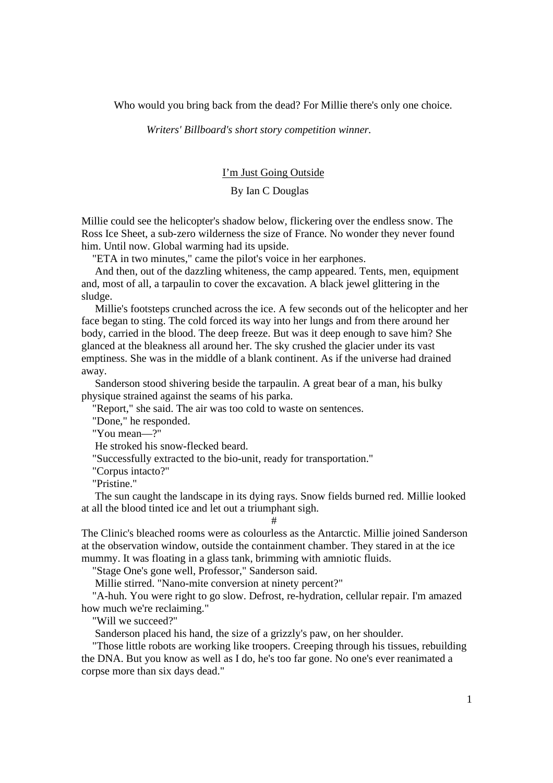Who would you bring back from the dead? For Millie there's only one choice.

*Writers' Billboard's short story competition winner.* 

## I'm Just Going Outside

## By Ian C Douglas

Millie could see the helicopter's shadow below, flickering over the endless snow. The Ross Ice Sheet, a sub-zero wilderness the size of France. No wonder they never found him. Until now. Global warming had its upside.

"ETA in two minutes," came the pilot's voice in her earphones.

 And then, out of the dazzling whiteness, the camp appeared. Tents, men, equipment and, most of all, a tarpaulin to cover the excavation. A black jewel glittering in the sludge.

 Millie's footsteps crunched across the ice. A few seconds out of the helicopter and her face began to sting. The cold forced its way into her lungs and from there around her body, carried in the blood. The deep freeze. But was it deep enough to save him? She glanced at the bleakness all around her. The sky crushed the glacier under its vast emptiness. She was in the middle of a blank continent. As if the universe had drained away.

 Sanderson stood shivering beside the tarpaulin. A great bear of a man, his bulky physique strained against the seams of his parka.

"Report," she said. The air was too cold to waste on sentences.

"Done," he responded.

"You mean—?"

He stroked his snow-flecked beard.

"Successfully extracted to the bio-unit, ready for transportation."

"Corpus intacto?"

"Pristine."

 The sun caught the landscape in its dying rays. Snow fields burned red. Millie looked at all the blood tinted ice and let out a triumphant sigh.

#

The Clinic's bleached rooms were as colourless as the Antarctic. Millie joined Sanderson at the observation window, outside the containment chamber. They stared in at the ice mummy. It was floating in a glass tank, brimming with amniotic fluids.

"Stage One's gone well, Professor," Sanderson said.

Millie stirred. "Nano-mite conversion at ninety percent?"

 "A-huh. You were right to go slow. Defrost, re-hydration, cellular repair. I'm amazed how much we're reclaiming."

"Will we succeed?"

Sanderson placed his hand, the size of a grizzly's paw, on her shoulder.

 "Those little robots are working like troopers. Creeping through his tissues, rebuilding the DNA. But you know as well as I do, he's too far gone. No one's ever reanimated a corpse more than six days dead."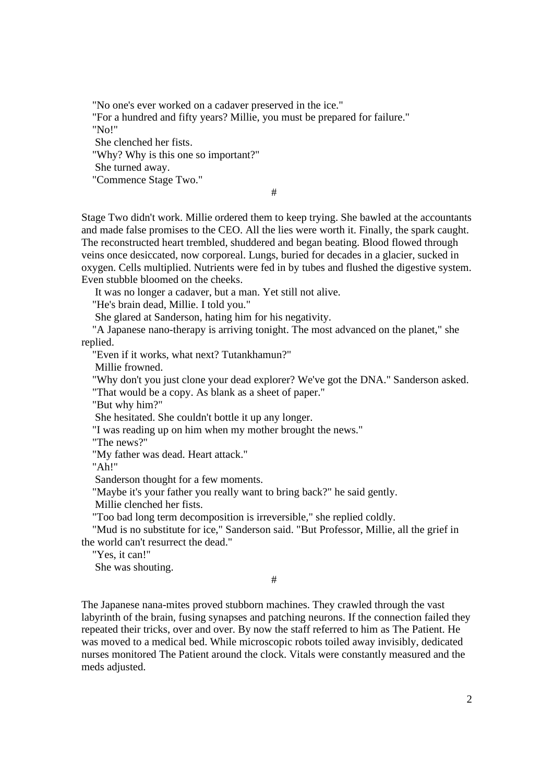"No one's ever worked on a cadaver preserved in the ice." "For a hundred and fifty years? Millie, you must be prepared for failure." "No!" She clenched her fists. "Why? Why is this one so important?" She turned away. "Commence Stage Two." #

Stage Two didn't work. Millie ordered them to keep trying. She bawled at the accountants and made false promises to the CEO. All the lies were worth it. Finally, the spark caught. The reconstructed heart trembled, shuddered and began beating. Blood flowed through veins once desiccated, now corporeal. Lungs, buried for decades in a glacier, sucked in oxygen. Cells multiplied. Nutrients were fed in by tubes and flushed the digestive system. Even stubble bloomed on the cheeks.

It was no longer a cadaver, but a man. Yet still not alive.

"He's brain dead, Millie. I told you."

She glared at Sanderson, hating him for his negativity.

 "A Japanese nano-therapy is arriving tonight. The most advanced on the planet," she replied.

"Even if it works, what next? Tutankhamun?"

Millie frowned.

"Why don't you just clone your dead explorer? We've got the DNA." Sanderson asked.

"That would be a copy. As blank as a sheet of paper."

"But why him?"

She hesitated. She couldn't bottle it up any longer.

"I was reading up on him when my mother brought the news."

"The news?"

"My father was dead. Heart attack."

"Ah!"

Sanderson thought for a few moments.

"Maybe it's your father you really want to bring back?" he said gently.

Millie clenched her fists.

"Too bad long term decomposition is irreversible," she replied coldly.

 "Mud is no substitute for ice," Sanderson said. "But Professor, Millie, all the grief in the world can't resurrect the dead."

"Yes, it can!"

She was shouting.

#

The Japanese nana-mites proved stubborn machines. They crawled through the vast labyrinth of the brain, fusing synapses and patching neurons. If the connection failed they repeated their tricks, over and over. By now the staff referred to him as The Patient. He was moved to a medical bed. While microscopic robots toiled away invisibly, dedicated nurses monitored The Patient around the clock. Vitals were constantly measured and the meds adjusted.